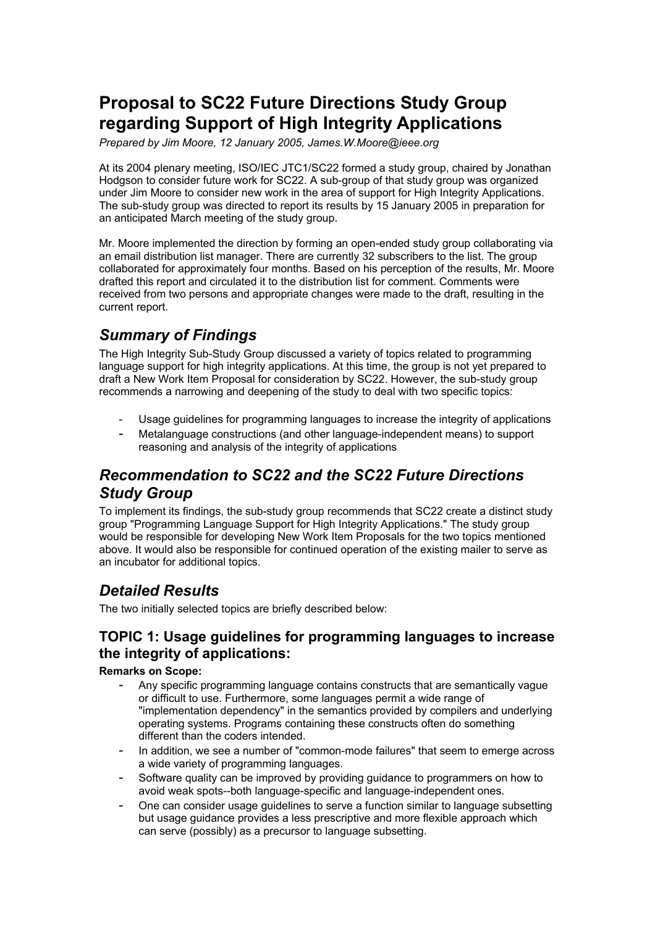# **Proposal to SC22 Future Directions Study Group regarding Support of High Integrity Applications**

*Prepared by Jim Moore, 12 January 2005, James.W.Moore@ieee.org* 

At its 2004 plenary meeting, ISO/IEC JTC1/SC22 formed a study group, chaired by Jonathan Hodgson to consider future work for SC22. A sub-group of that study group was organized under Jim Moore to consider new work in the area of support for High Integrity Applications. The sub-study group was directed to report its results by 15 January 2005 in preparation for an anticipated March meeting of the study group.

Mr. Moore implemented the direction by forming an open-ended study group collaborating via an email distribution list manager. There are currently 32 subscribers to the list. The group collaborated for approximately four months. Based on his perception of the results, Mr. Moore drafted this report and circulated it to the distribution list for comment. Comments were received from two persons and appropriate changes were made to the draft, resulting in the current report.

# *Summary of Findings*

The High Integrity Sub-Study Group discussed a variety of topics related to programming language support for high integrity applications. At this time, the group is not yet prepared to draft a New Work Item Proposal for consideration by SC22. However, the sub-study group recommends a narrowing and deepening of the study to deal with two specific topics:

- Usage guidelines for programming languages to increase the integrity of applications
- Metalanguage constructions (and other language-independent means) to support reasoning and analysis of the integrity of applications

## *Recommendation to SC22 and the SC22 Future Directions Study Group*

To implement its findings, the sub-study group recommends that SC22 create a distinct study group "Programming Language Support for High Integrity Applications." The study group would be responsible for developing New Work Item Proposals for the two topics mentioned above. It would also be responsible for continued operation of the existing mailer to serve as an incubator for additional topics.

# *Detailed Results*

The two initially selected topics are briefly described below:

### **TOPIC 1: Usage guidelines for programming languages to increase the integrity of applications:**

**Remarks on Scope:**

- Any specific programming language contains constructs that are semantically vague or difficult to use. Furthermore, some languages permit a wide range of "implementation dependency" in the semantics provided by compilers and underlying operating systems. Programs containing these constructs often do something different than the coders intended.
- In addition, we see a number of "common-mode failures" that seem to emerge across a wide variety of programming languages.
- Software quality can be improved by providing guidance to programmers on how to avoid weak spots--both language-specific and language-independent ones.
- One can consider usage guidelines to serve a function similar to language subsetting but usage guidance provides a less prescriptive and more flexible approach which can serve (possibly) as a precursor to language subsetting.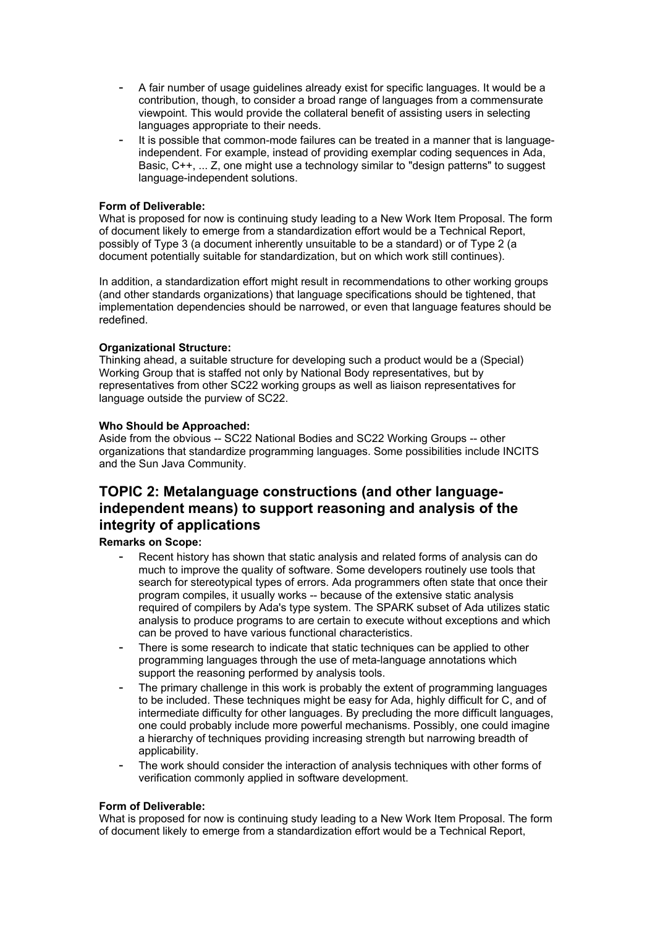- A fair number of usage guidelines already exist for specific languages. It would be a contribution, though, to consider a broad range of languages from a commensurate viewpoint. This would provide the collateral benefit of assisting users in selecting languages appropriate to their needs.
- It is possible that common-mode failures can be treated in a manner that is languageindependent. For example, instead of providing exemplar coding sequences in Ada, Basic, C++, ... Z, one might use a technology similar to "design patterns" to suggest language-independent solutions.

#### **Form of Deliverable:**

What is proposed for now is continuing study leading to a New Work Item Proposal. The form of document likely to emerge from a standardization effort would be a Technical Report, possibly of Type 3 (a document inherently unsuitable to be a standard) or of Type 2 (a document potentially suitable for standardization, but on which work still continues).

In addition, a standardization effort might result in recommendations to other working groups (and other standards organizations) that language specifications should be tightened, that implementation dependencies should be narrowed, or even that language features should be redefined.

#### **Organizational Structure:**

Thinking ahead, a suitable structure for developing such a product would be a (Special) Working Group that is staffed not only by National Body representatives, but by representatives from other SC22 working groups as well as liaison representatives for language outside the purview of SC22.

#### **Who Should be Approached:**

Aside from the obvious -- SC22 National Bodies and SC22 Working Groups -- other organizations that standardize programming languages. Some possibilities include INCITS and the Sun Java Community.

### **TOPIC 2: Metalanguage constructions (and other languageindependent means) to support reasoning and analysis of the integrity of applications**

### **Remarks on Scope:**

- Recent history has shown that static analysis and related forms of analysis can do much to improve the quality of software. Some developers routinely use tools that search for stereotypical types of errors. Ada programmers often state that once their program compiles, it usually works -- because of the extensive static analysis required of compilers by Ada's type system. The SPARK subset of Ada utilizes static analysis to produce programs to are certain to execute without exceptions and which can be proved to have various functional characteristics.
- There is some research to indicate that static techniques can be applied to other programming languages through the use of meta-language annotations which support the reasoning performed by analysis tools.
- The primary challenge in this work is probably the extent of programming languages to be included. These techniques might be easy for Ada, highly difficult for C, and of intermediate difficulty for other languages. By precluding the more difficult languages, one could probably include more powerful mechanisms. Possibly, one could imagine a hierarchy of techniques providing increasing strength but narrowing breadth of applicability.
- The work should consider the interaction of analysis techniques with other forms of verification commonly applied in software development.

### **Form of Deliverable:**

What is proposed for now is continuing study leading to a New Work Item Proposal. The form of document likely to emerge from a standardization effort would be a Technical Report,